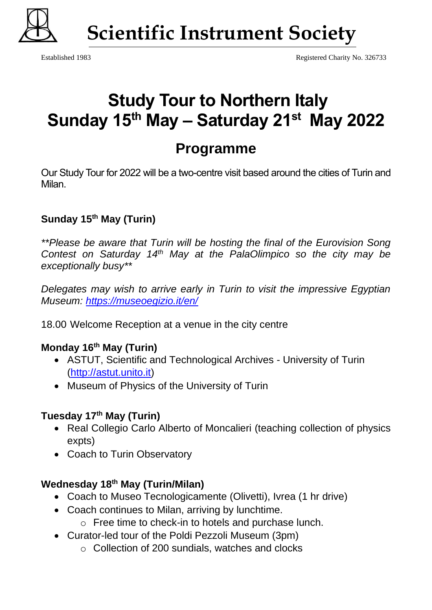

 **Scientific Instrument Society**

# **Study Tour to Northern Italy Sunday 15th May – Saturday 21st May 2022**

## **Programme**

Our Study Tour for 2022 will be a two-centre visit based around the cities of Turin and Milan.

### **Sunday 15th May (Turin)**

*\*\*Please be aware that Turin will be hosting the final of the Eurovision Song Contest on Saturday 14th May at the PalaOlimpico so the city may be exceptionally busy\*\**

*Delegates may wish to arrive early in Turin to visit the impressive Egyptian Museum:<https://museoegizio.it/en/>*

18.00 Welcome Reception at a venue in the city centre

#### **Monday 16th May (Turin)**

- ASTUT, Scientific and Technological Archives University of Turin [\(http://astut.unito.it\)](http://astut.unito.it/)
- Museum of Physics of the University of Turin

#### **Tuesday 17th May (Turin)**

- Real Collegio Carlo Alberto of Moncalieri (teaching collection of physics expts)
- Coach to Turin Observatory

#### **Wednesday 18th May (Turin/Milan)**

- Coach to Museo Tecnologicamente (Olivetti), Ivrea (1 hr drive)
- Coach continues to Milan, arriving by lunchtime.
	- o Free time to check-in to hotels and purchase lunch.
- Curator-led tour of the Poldi Pezzoli Museum (3pm)
	- o Collection of 200 sundials, watches and clocks